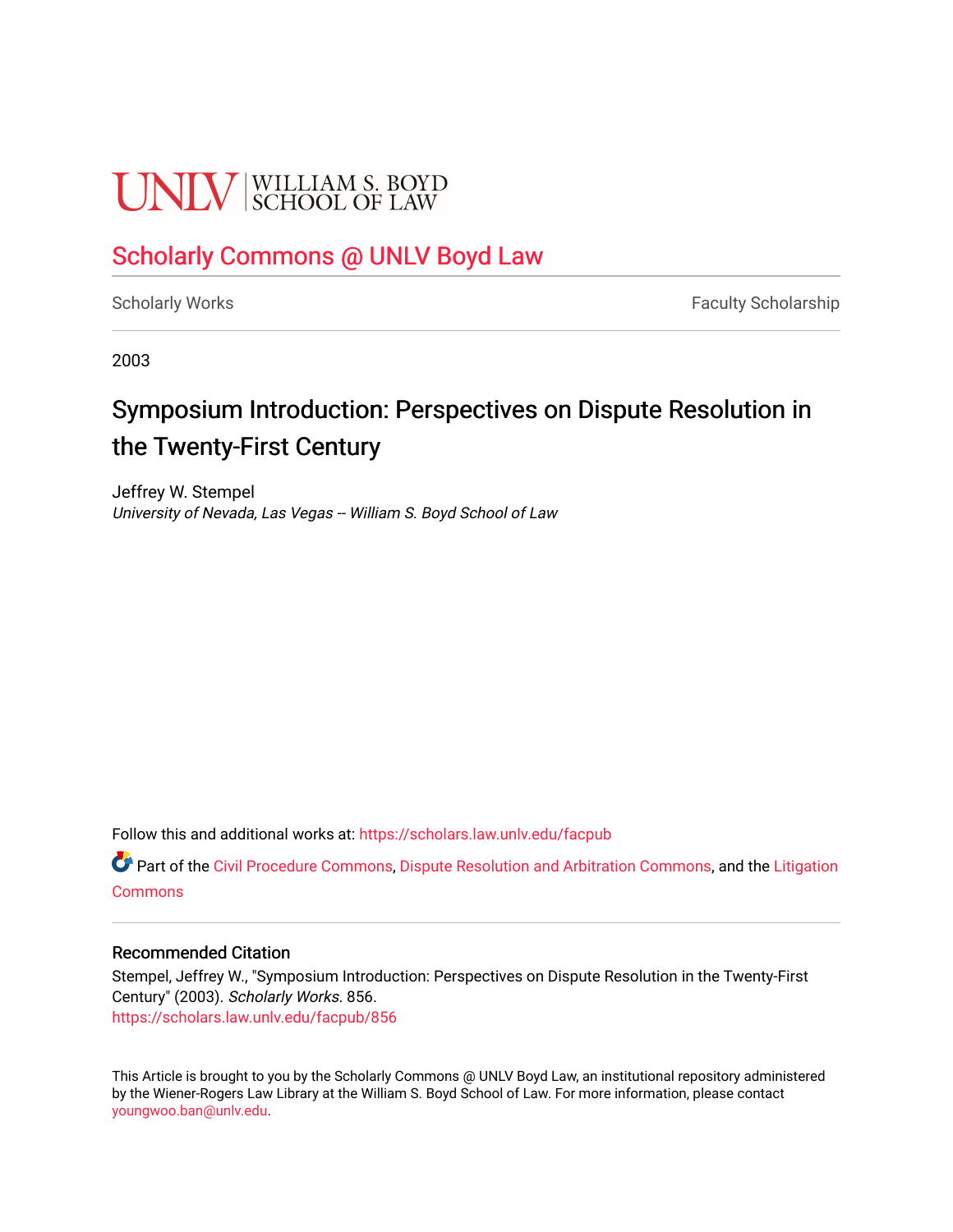# **UNIV** SCHOOL OF LAW

### [Scholarly Commons @ UNLV Boyd Law](https://scholars.law.unlv.edu/)

[Scholarly Works](https://scholars.law.unlv.edu/facpub) **Faculty Scholarship** Faculty Scholarship

2003

## Symposium Introduction: Perspectives on Dispute Resolution in the Twenty-First Century

Jeffrey W. Stempel University of Nevada, Las Vegas -- William S. Boyd School of Law

Follow this and additional works at: [https://scholars.law.unlv.edu/facpub](https://scholars.law.unlv.edu/facpub?utm_source=scholars.law.unlv.edu%2Ffacpub%2F856&utm_medium=PDF&utm_campaign=PDFCoverPages)

**C** Part of the [Civil Procedure Commons,](http://network.bepress.com/hgg/discipline/584?utm_source=scholars.law.unlv.edu%2Ffacpub%2F856&utm_medium=PDF&utm_campaign=PDFCoverPages) [Dispute Resolution and Arbitration Commons](http://network.bepress.com/hgg/discipline/890?utm_source=scholars.law.unlv.edu%2Ffacpub%2F856&utm_medium=PDF&utm_campaign=PDFCoverPages), and the Litigation **[Commons](http://network.bepress.com/hgg/discipline/910?utm_source=scholars.law.unlv.edu%2Ffacpub%2F856&utm_medium=PDF&utm_campaign=PDFCoverPages)** 

#### Recommended Citation

Stempel, Jeffrey W., "Symposium Introduction: Perspectives on Dispute Resolution in the Twenty-First Century" (2003). Scholarly Works. 856. [https://scholars.law.unlv.edu/facpub/856](https://scholars.law.unlv.edu/facpub/856?utm_source=scholars.law.unlv.edu%2Ffacpub%2F856&utm_medium=PDF&utm_campaign=PDFCoverPages)

This Article is brought to you by the Scholarly Commons @ UNLV Boyd Law, an institutional repository administered by the Wiener-Rogers Law Library at the William S. Boyd School of Law. For more information, please contact [youngwoo.ban@unlv.edu.](mailto:youngwoo.ban@unlv.edu)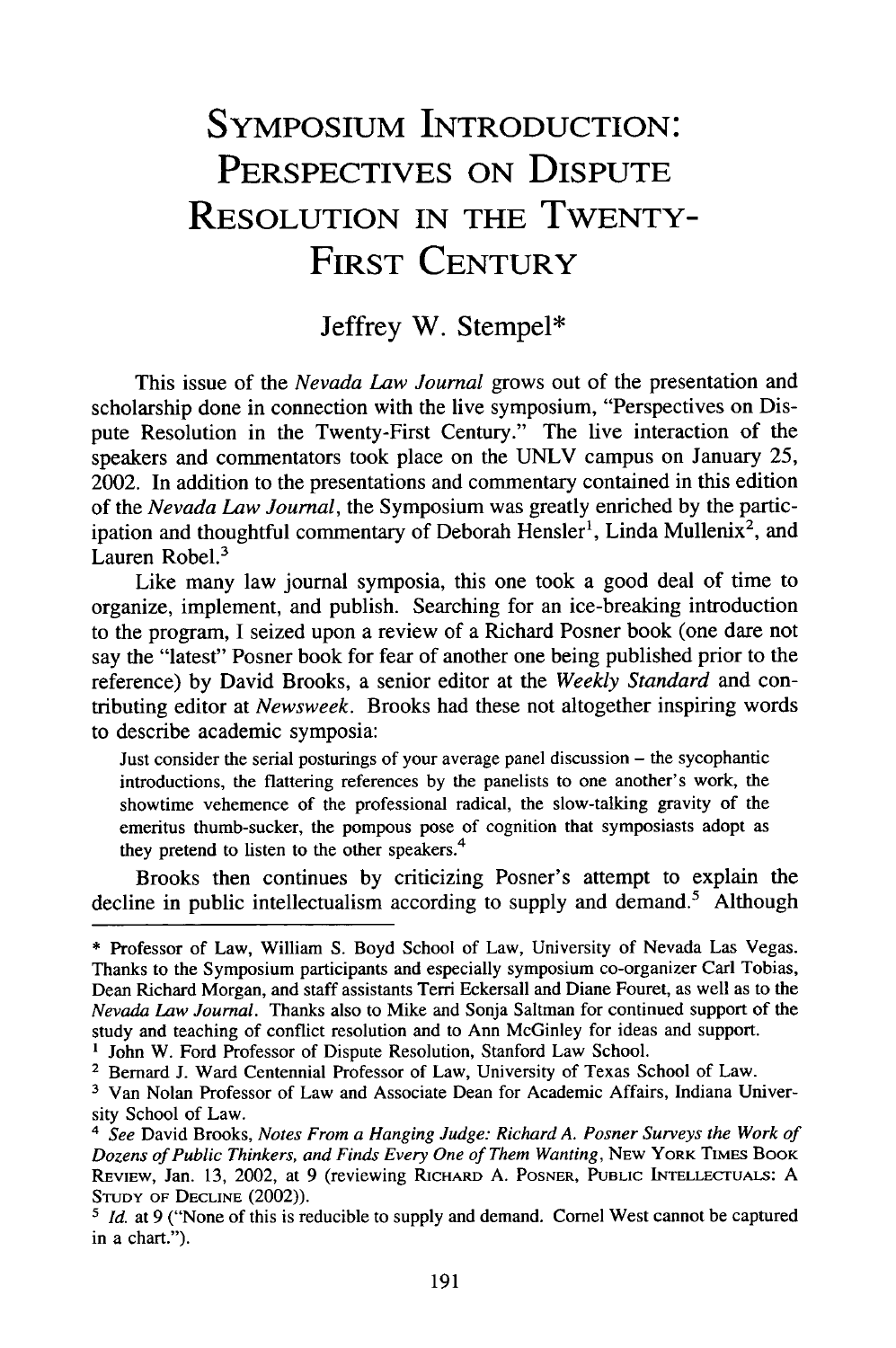## **SYMPOSIUM INTRODUCTION:** PERSPECTIVES ON **DISPUTE RESOLUTION IN** THE TWENTY-FIRST **CENTURY**

#### Jeffrey W. Stempel\*

This issue of the *Nevada Law Journal* grows out of the presentation and scholarship done in connection with the live symposium, "Perspectives on Dispute Resolution in the Twenty-First Century." The live interaction of the speakers and commentators took place on the UNLV campus on January **25,** 2002. In addition to the presentations and commentary contained in this edition of the *Nevada Law Journal,* the Symposium was greatly enriched by the participation and thoughtful commentary of Deborah Hensler<sup>1</sup>, Linda Mullenix<sup>2</sup>, and Lauren Robel.<sup>3</sup>

Like many law journal symposia, this one took a good deal of time to organize, implement, and publish. Searching for an ice-breaking introduction to the program, I seized upon a review of a Richard Posner book (one dare not say the "latest" Posner book for fear of another one being published prior to the reference) by David Brooks, a senior editor at the *Weekly Standard* and contributing editor at *Newsweek.* Brooks had these not altogether inspiring words to describe academic symposia:

Just consider the serial posturings of your average panel discussion - the sycophantic introductions, the flattering references by the panelists to one another's work, the showtime vehemence of the professional radical, the slow-talking gravity of the emeritus thumb-sucker, the pompous pose of cognition that symposiasts adopt as they pretend to listen to the other speakers.<sup>4</sup>

Brooks then continues by criticizing Posner's attempt to explain the decline in public intellectualism according to supply and demand.<sup>5</sup> Although

**<sup>\*</sup>** Professor of Law, William S. Boyd School of Law, University of Nevada Las Vegas. Thanks to the Symposium participants and especially symposium co-organizer Carl Tobias, Dean Richard Morgan, and staff assistants Terri Eckersall and Diane Fouret, as well as to the *Nevada Law Journal.* Thanks also to Mike and Sonja Saltman for continued support of the study and teaching of conflict resolution and to Ann McGinley for ideas and support. **<sup>1</sup>**John W. Ford Professor of Dispute Resolution, Stanford Law School.

<sup>&</sup>lt;sup>2</sup> Bernard J. Ward Centennial Professor of Law, University of Texas School of Law.

<sup>&</sup>lt;sup>3</sup> Van Nolan Professor of Law and Associate Dean for Academic Affairs, Indiana University School of Law.

*<sup>4</sup> See* David Brooks, *Notes From a Hanging Judge: Richard A. Posner Surveys the Work of Dozens of Public Thinkers, and Finds Every One of Them Wanting,* NEW YORK TIMES BOOK REvIEW, Jan. 13, 2002, at 9 (reviewing RICHARD A. POSNER, **PUBLIC** INTELLECTUALS: A **STUDY** OF DECLINE (2002)).

<sup>&</sup>lt;sup>5</sup> *Id.* at 9 ("None of this is reducible to supply and demand. Cornel West cannot be captured in a chart.").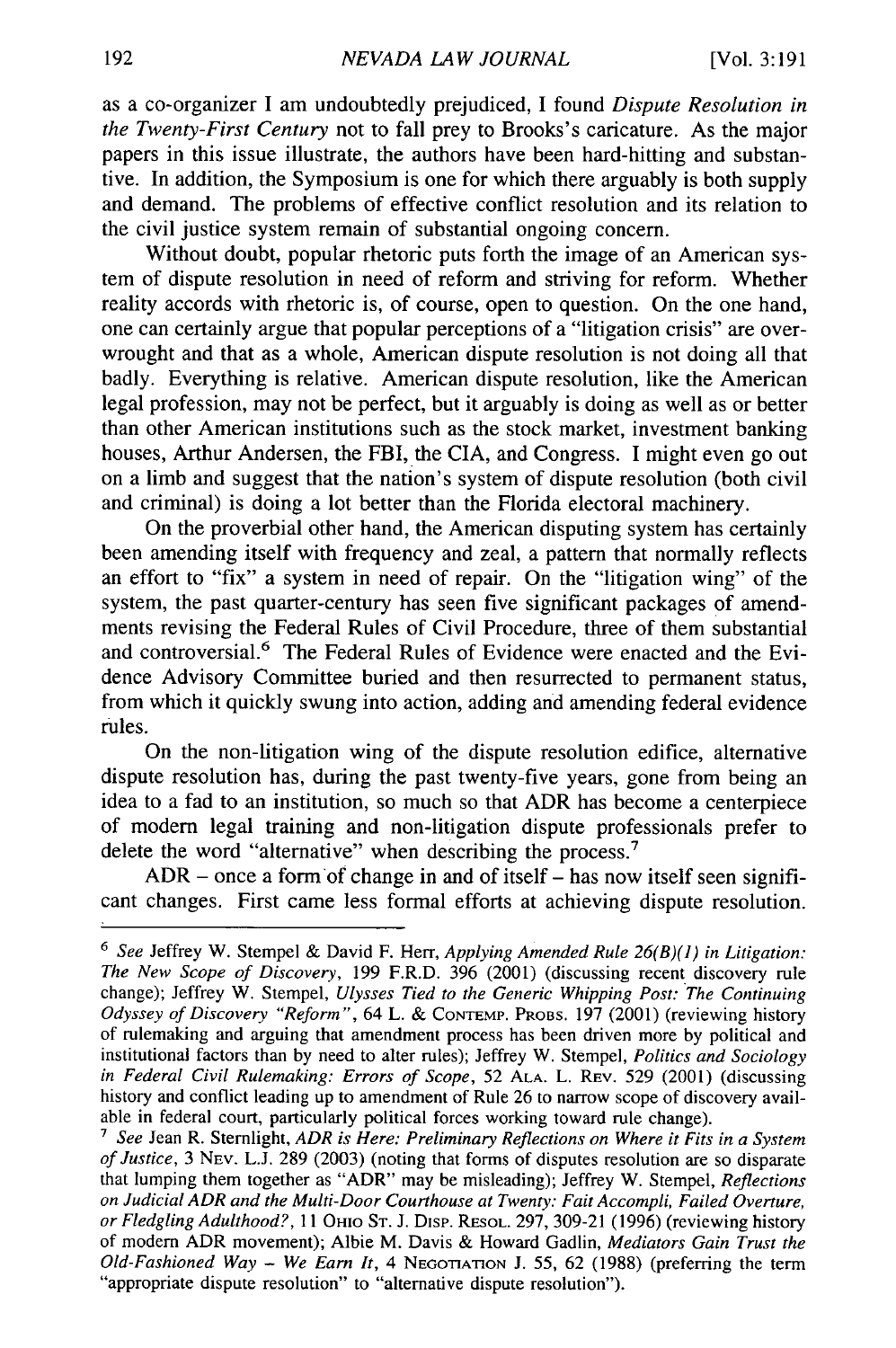as a co-organizer I am undoubtedly prejudiced, I found *Dispute Resolution in the Twenty-First Century* not to fall prey to Brooks's caricature. As the major papers in this issue illustrate, the authors have been hard-hitting and substantive. In addition, the Symposium is one for which there arguably is both supply and demand. The problems of effective conflict resolution and its relation to the civil justice system remain of substantial ongoing concern.

Without doubt, popular rhetoric puts forth the image of an American system of dispute resolution in need of reform and striving for reform. Whether reality accords with rhetoric is, of course, open to question. On the one hand, one can certainly argue that popular perceptions of a "litigation crisis" are overwrought and that as a whole, American dispute resolution is not doing all that badly. Everything is relative. American dispute resolution, like the American legal profession, may not be perfect, but it arguably is doing as well as or better than other American institutions such as the stock market, investment banking houses, Arthur Andersen, the FBI, the CIA, and Congress. I might even go out on a limb and suggest that the nation's system of dispute resolution (both civil and criminal) is doing a lot better than the Florida electoral machinery.

On the proverbial other hand, the American disputing system has certainly been amending itself with frequency and zeal, a pattern that normally reflects an effort to "fix" a system in need of repair. On the "litigation wing" of the system, the past quarter-century has seen five significant packages of amendments revising the Federal Rules of Civil Procedure, three of them substantial and controversial.<sup>6</sup> The Federal Rules of Evidence were enacted and the Evidence Advisory Committee buried and then resurrected to permanent status, from which it quickly swung into action, adding and amending federal evidence rules.

On the non-litigation wing of the dispute resolution edifice, alternative dispute resolution has, during the past twenty-five years, gone from being an idea to a fad to an institution, so much so that ADR has become a centerpiece of modem legal training and non-litigation dispute professionals prefer to delete the word "alternative" when describing the process.<sup>7</sup>

 $ADR$  – once a form of change in and of itself – has now itself seen significant changes. First came less formal efforts at achieving dispute resolution.

*<sup>6</sup> See* Jeffrey W. Stempel & David F. Herr, *Applying Amended Rule 26(B)(1) in Litigation: The New Scope of Discovery,* 199 F.R.D. 396 (2001) (discussing recent discovery rule change); Jeffrey W. Stempel, *Ulysses Tied to the Generic Whipping Post: The Continuing Odyssey of Discovery "Reform",* 64 L. & **CONTEMP.** PROBS. 197 (2001) (reviewing history of rulemaking and arguing that amendment process has been driven more by political and institutional factors than by need to alter rules); Jeffrey W. Stempel, *Politics and Sociology in Federal Civil Rulemaking: Errors of Scope,* 52 **ALA.** L. REV. 529 (2001) (discussing history and conflict leading up to amendment of Rule 26 to narrow scope of discovery available in federal court, particularly political forces working toward rule change).

<sup>7</sup> *See* Jean R. Sternlight, *ADR is Here: Preliminary Reflections on Where it Fits in a System of Justice,* 3 NEV. L.J. 289 (2003) (noting that forms of disputes resolution are so disparate that lumping them together as "ADR" may be misleading); Jeffrey W. Stempel, *Reflections on Judicial ADR and the Multi-Door Courthouse at Twenty: Fait Accompli, Failed Overture, or Fledgling Adulthood?*, 11 Оню Sт. J. Disp. REsol. 297, 309-21 (1996) (reviewing history of modem ADR movement); Albie M. Davis & Howard Gadlin, *Mediators Gain Trust the Old-Fashioned Way* - *We Earn It,* 4 **NEGOTIATION** J. 55, 62 (1988) (preferring the term "appropriate dispute resolution" **to** "alternative dispute resolution").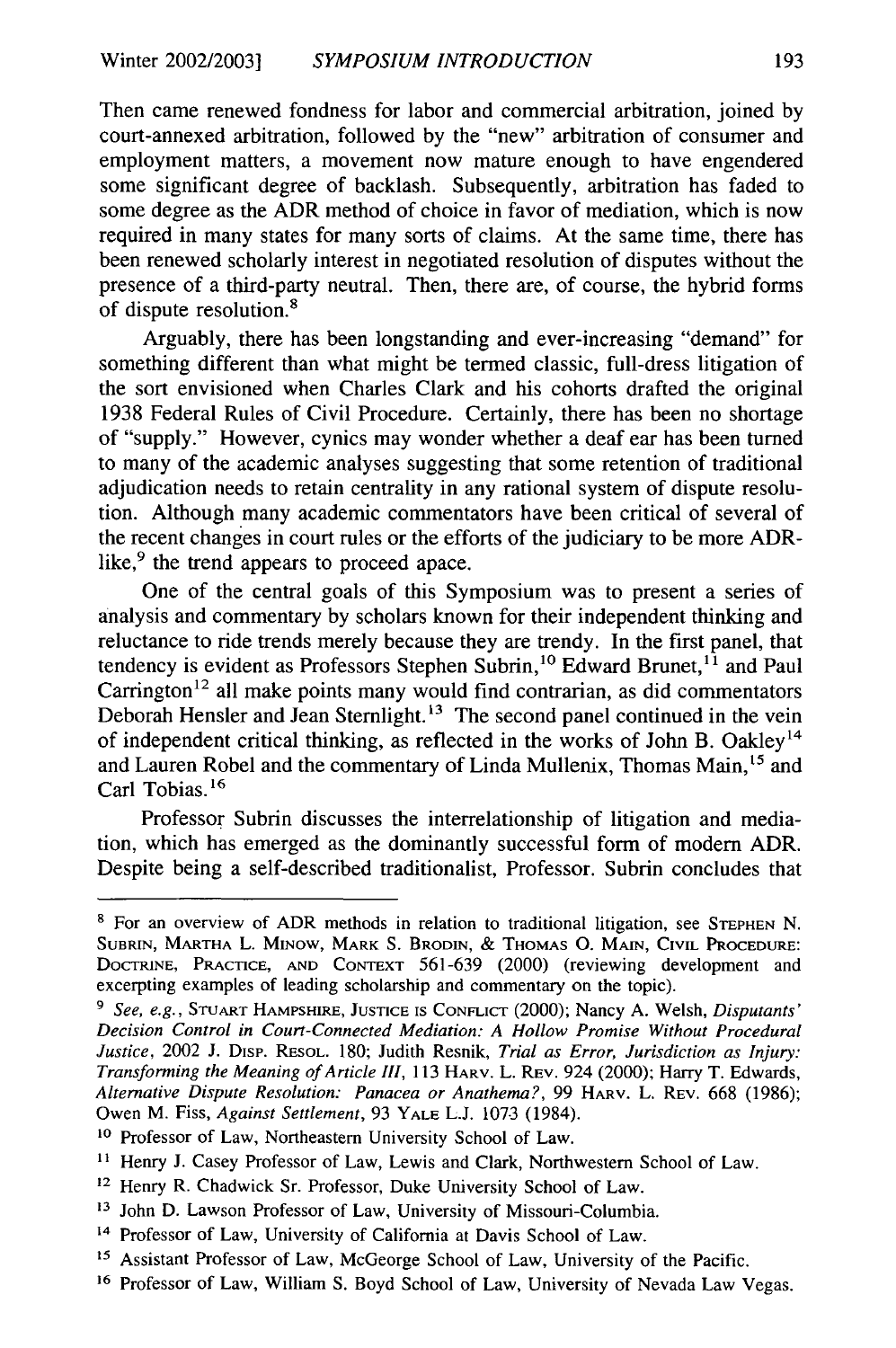Then came renewed fondness for labor and commercial arbitration, joined by court-annexed arbitration, followed by the "new" arbitration of consumer and employment matters, a movement now mature enough to have engendered some significant degree of backlash. Subsequently, arbitration has faded to some degree as the ADR method of choice in favor of mediation, which is now required in many states for many sorts of claims. At the same time, there has been renewed scholarly interest in negotiated resolution of disputes without the presence of a third-party neutral. Then, there are, of course, the hybrid forms of dispute resolution.8

Arguably, there has been longstanding and ever-increasing "demand" for something different than what might be termed classic, full-dress litigation of the sort envisioned when Charles Clark and his cohorts drafted the original 1938 Federal Rules of Civil Procedure. Certainly, there has been no shortage of "supply." However, cynics may wonder whether a deaf ear has been turned to many of the academic analyses suggesting that some retention of traditional adjudication needs to retain centrality in any rational system of dispute resolution. Although many academic commentators have been critical of several of the recent changes in court rules or the efforts of the judiciary to be more ADRlike,<sup>9</sup> the trend appears to proceed apace.

One of the central goals of this Symposium was to present a series of analysis and commentary by scholars known for their independent thinking and reluctance to ride trends merely because they are trendy. In the first panel, that tendency is evident as Professors Stephen Subrin,<sup>10</sup> Edward Brunet,<sup>11</sup> and Paul  $Carrington<sup>12</sup>$  all make points many would find contrarian, as did commentators Deborah Hensler and Jean Sternlight.<sup>13</sup> The second panel continued in the vein of independent critical thinking, as reflected in the works of John B. Oakley<sup>14</sup> and Lauren Robel and the commentary of Linda Mullenix, Thomas Main,<sup>15</sup> and Carl Tobias.<sup>16</sup>

Professor Subrin discusses the interrelationship of litigation and mediation, which has emerged as the dominantly successful form of modern ADR. Despite being a self-described traditionalist, Professor. Subrin concludes that

**<sup>8</sup>** For an overview of ADR methods in relation to traditional litigation, see **STEPHEN** N. **SUBRIN,** MARTHA L. MINOW, MARK S. BRODIN, *&* **THOMAS 0.** MAIN, CIVIL **PROCEDURE:** DOCTRINE, PRACTICE, **AND CONTEXT** 561-639 (2000) (reviewing development and excerpting examples of leading scholarship and commentary on the topic).

*<sup>9</sup>See, e.g.,* **STUART** HAMPSHIRE, **JUSTICE** IS CONFLICT (2000); Nancy A. Welsh, *Disputants' Decision Control in Court-Connected Mediation: A Hollow Promise Without Procedural Justice,* 2002 J. DisP. RESOL. 180; Judith Resnik, *Trial as Error, Jurisdiction as Injury: Transforming the Meaning of Article III,* 113 HARV. L. REV. 924 (2000); Harry T. Edwards, *Alternative Dispute Resolution: Panacea or Anathema?,* 99 HARV. L. REV. 668 (1986); Owen M. Fiss, *Against Settlement,* 93 YALE L.J. 1073 (1984).

<sup>&</sup>lt;sup>10</sup> Professor of Law, Northeastern University School of Law.

<sup>&</sup>lt;sup>11</sup> Henry J. Casey Professor of Law, Lewis and Clark, Northwestern School of Law.

<sup>12</sup> Henry R. Chadwick Sr. Professor, Duke University School of Law.

**<sup>13</sup>**John D. Lawson Professor of Law, University of Missouri-Columbia.

<sup>&</sup>lt;sup>14</sup> Professor of Law, University of California at Davis School of Law.

**<sup>15</sup>**Assistant Professor of Law, McGeorge School of Law, University of the Pacific.

<sup>&</sup>lt;sup>16</sup> Professor of Law, William S. Boyd School of Law, University of Nevada Law Vegas.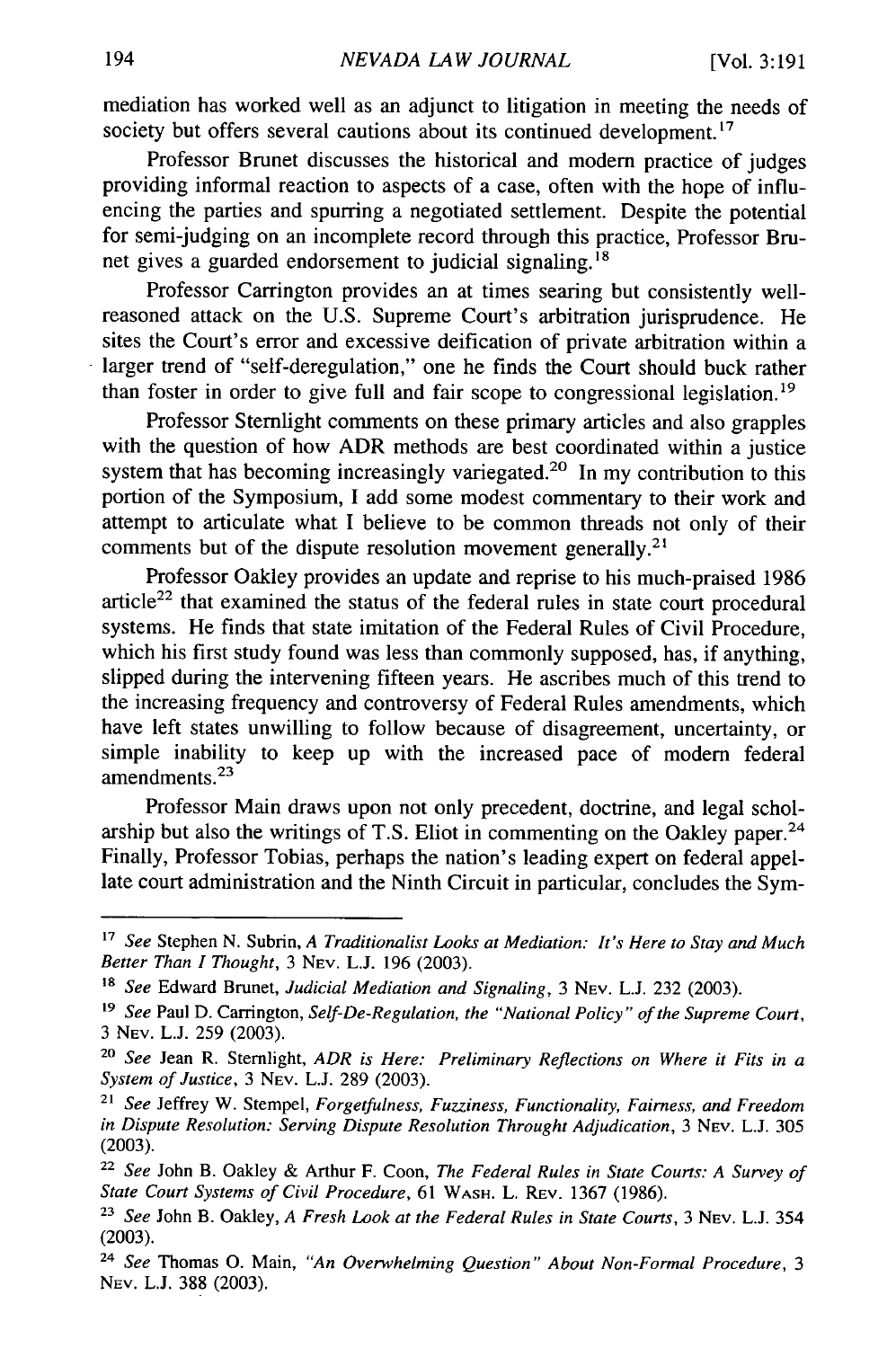mediation has worked well as an adjunct to litigation in meeting the needs of society but offers several cautions about its continued development.<sup>17</sup>

Professor Brunet discusses the historical and modem practice of judges providing informal reaction to aspects of a case, often with the hope of influencing the parties and spurring a negotiated settlement. Despite the potential for semi-judging on an incomplete record through this practice, Professor Brunet gives a guarded endorsement to judicial signaling.<sup>18</sup>

Professor Carrington provides an at times searing but consistently wellreasoned attack on the U.S. Supreme Court's arbitration jurisprudence. He sites the Court's error and excessive deification of private arbitration within a larger trend of "self-deregulation," one he finds the Court should buck rather than foster in order to give full and fair scope to congressional legislation.<sup>19</sup>

Professor Stemlight comments on these primary articles and also grapples with the question of how ADR methods are best coordinated within a justice system that has becoming increasingly variegated.<sup>20</sup> In my contribution to this portion of the Symposium, I add some modest commentary to their work and attempt to articulate what I believe to be common threads not only of their comments but of the dispute resolution movement generally.<sup>21</sup>

Professor Oakley provides an update and reprise to his much-praised 1986 article<sup>22</sup> that examined the status of the federal rules in state court procedural systems. He finds that state imitation of the Federal Rules of Civil Procedure, which his first study found was less than commonly supposed, has, if anything, slipped during the intervening fifteen years. He ascribes much of this trend to the increasing frequency and controversy of Federal Rules amendments, which have left states unwilling to follow because of disagreement, uncertainty, or simple inability to keep up with the increased pace of modem federal amendments. $2<sup>3</sup>$ 

Professor Main draws upon not only precedent, doctrine, and legal scholarship but also the writings of T.S. Eliot in commenting on the Oakley paper. $24$ Finally, Professor Tobias, perhaps the nation's leading expert on federal appellate court administration and the Ninth Circuit in particular, concludes the Sym-

*<sup>17</sup>See* Stephen N. Subrin, *A Traditionalist Looks at Mediation: It's Here to Stay and Much Better Than I Thought,* 3 NEV. L.J. 196 (2003).

*<sup>&#</sup>x27;8 See* Edward Brunet, *Judicial Mediation and Signaling,* 3 NEV. L.J. 232 (2003).

**<sup>&#</sup>x27;9** *See* Paul D. Carrington, *Self-De-Regulation, the "National Policy" of the Supreme Court,* 3 **NEV.** L.J. 259 (2003).

**<sup>20</sup>***See* Jean R. Sternlight, *ADR is Here: Preliminary Reflections on Where it Fits in a System of Justice,* 3 NEV. L.J. 289 (2003).

*<sup>21</sup>See* Jeffrey W. Stempel, *Forgetfulness, Fuzziness, Functionality, Fairness, and Freedom in Dispute Resolution: Serving Dispute Resolution Throught Adjudication, 3 Nev. L.J. 305* (2003).

<sup>22</sup>*See* John B. Oakley & Arthur F. Coon, *The Federal Rules in State Courts: A Survey of State Court Systems of Civil Procedure,* 61 WASH. L. REV. 1367 (1986).

**<sup>23</sup>***See* John B. Oakley, *A Fresh Look at the Federal Rules in State Courts,* 3 NEV. L.J. 354 (2003).

<sup>24</sup>*See* Thomas **0.** Main, *"An Overwhelming Question" About Non-Formal Procedure, 3* NEV. **L.J.** 388 (2003).